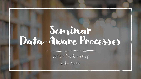# Seminar Data-Aware Processes

Knowledge-Based Systems Group Stephan Mennicke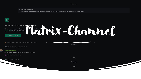Wednesday

#### **Encryption enabled**

Messages in this room are end-to-end encrypted. When people join, you can verify them in their profile, just tap on their avatar.



#### Seminar Data-Aware Proc ses<br>Nou created this room. This is the street in the street of this is the street in the street of this is the street in the people know w Si Invite to this room

| Stephan Mennicke created and configured the room.                                                       | $\frac{1}{2} \left( \frac{1}{2} \right) \left( \frac{1}{2} \right) \left( \frac{1}{2} \right) \left( \frac{1}{2} \right) \left( \frac{1}{2} \right) \left( \frac{1}{2} \right) \left( \frac{1}{2} \right) \left( \frac{1}{2} \right) \left( \frac{1}{2} \right) \left( \frac{1}{2} \right) \left( \frac{1}{2} \right) \left( \frac{1}{2} \right) \left( \frac{1}{2} \right) \left( \frac{1}{2} \right) \left( \frac{1}{2} \right) \left( \frac{1}{2} \right) \left( \frac$<br>Thursday |
|---------------------------------------------------------------------------------------------------------|----------------------------------------------------------------------------------------------------------------------------------------------------------------------------------------------------------------------------------------------------------------------------------------------------------------------------------------------------------------------------------------------------------------------------------------------------------------------------------------|
| A Masoud Taghikhah joined the room.                                                                     |                                                                                                                                                                                                                                                                                                                                                                                                                                                                                        |
| Stephan Mennicke<br>So the room works, at least for one of you. Welcome!<br>2 zisu300c joined the room. |                                                                                                                                                                                                                                                                                                                                                                                                                                                                                        |
| the room.                                                                                               | Friday                                                                                                                                                                                                                                                                                                                                                                                                                                                                                 |
| a room.                                                                                                 | Yesterday<br>Today                                                                                                                                                                                                                                                                                                                                                                                                                                                                     |
|                                                                                                         |                                                                                                                                                                                                                                                                                                                                                                                                                                                                                        |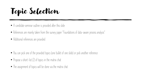Topic Selection

- A candidate seminar outline is provided after this slide
- References are mainly taken from the survey paper "Foundations of data-aware process analysis"
- Additional references are provided

- You can pick one of the provided topics (one bullet of one slide) or pick another reference
- Propose a short-list (2) of topics in the matrix chat
- The assignment of topics will be done via the matrix chat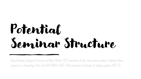# Potential Seminar Structure

Diego Calvanese, Giuseppe De Giacomo, and Marco Montali. 2013. Foundations of data-aware process analysis: a database theory perspective. In Proceedings of the 32nd ACM SIGMOD-SIGACT-SIGAI symposium on Principles of database systems (PODS '13).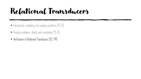### Relational Transducers

- Introduction, modeling, first analysis problems [19, 20]
- Analysis problems: details and complexity [19, 20]
- **Verification of Relational Transducers [20, 114]**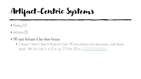# Artifact-Centric Systems

- Modeling [101]
- Verification [38]
- **SMT-based Verification of Data-Aware Processes**
	- D. Calvanese, S. Ghilardi, A. Gianola, M. Montali, and A. Rivkin, "SMT-based verification of data-aware processes: a model-theoretic approach," *Math. Struct. Comp. Sci.*, vol. 30, no. 3, pp. 271-313, Mar. 2020, doi: <u>10.1017/S0960129520000067</u>.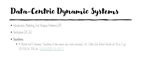# Data-Centric Dynamic Systems

- Introduction, Modeling, First Analysis Problems [24]
- Verification [24, 26]
- **Soundness**
	- M. Montali and D. Calvanese, "Soundness of data-aware, case-centric processes," Int J Softw Tools Technol Transfer, vol. 18, no. 5, pp. 535–558, Oct. 2016, doi: [10.1007/s10009-016-0417-2.](https://doi.org/10.1007/s10009-016-0417-2)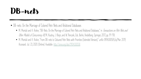#### DB-nets

- DB-nets: On the Marriage of Colored Petri Nets and Relational Databases
	- M. Montali and A. Rivkin, "DB-Nets: On the Marriage of Colored Petri Nets and Relational Databases," in *Transactions on Petri Nets and* Other Models of Concurrency XII, M. Koutny, J. Kleijn, and W. Penczek, Eds. Berlin, Heidelberg: Springer, 2017, pp. 91-118.
	- M. Montali and A. Rivkin, "From DB-nets to Coloured Petri Nets with Priorities (Extended Version)," arXiv: 1904.00058 [cs] Mar. 2019, Accessed: Jul. 23, 2020. [Online]. Available: [http://arxiv.org/abs/1904.00058.](http://arxiv.org/abs/1904.00058)